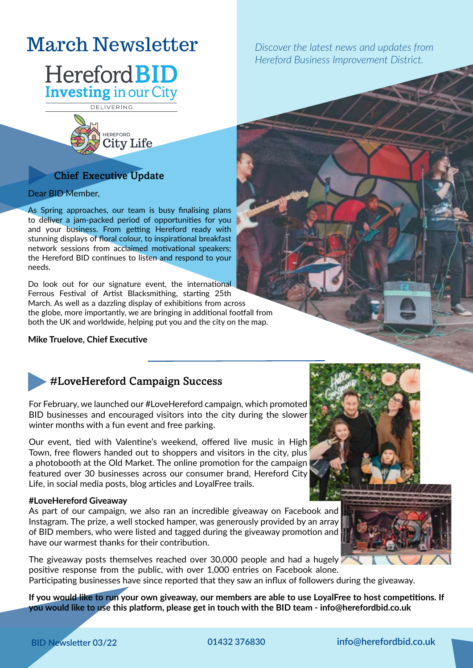# March Newsletter *Discover the latest news and updates from*

# Hereford **BID Investing** in our City

DELIVERING



# Chief Executive Update

Dear BID Member,

As Spring approaches, our team is busy finalising plans to deliver a jam-packed period of opportunities for you and your business. From getting Hereford ready with stunning displays of floral colour, to inspirational breakfast network sessions from acclaimed motivational speakers; the Hereford BID continues to listen and respond to your needs.

Do look out for our signature event, the international Ferrous Festival of Artist Blacksmithing, starting 25th March. As well as a dazzling display of exhibitions from across the globe, more importantly, we are bringing in additional footfall from both the UK and worldwide, helping put you and the city on the map.

#### **Mike Truelove, Chief Executive**



# #LoveHereford Campaign Success

For February, we launched our #LoveHereford campaign, which promoted BID businesses and encouraged visitors into the city during the slower winter months with a fun event and free parking.

Our event, tied with Valentine's weekend, offered live music in High Town, free flowers handed out to shoppers and visitors in the city, plus a photobooth at the Old Market. The online promotion for the campaign featured over 30 businesses across our consumer brand, Hereford City Life, in social media posts, blog articles and LoyalFree trails.

#### **#LoveHereford Giveaway**

As part of our campaign, we also ran an incredible giveaway on Facebook and Instagram. The prize, a well stocked hamper, was generously provided by an array of BID members, who were listed and tagged during the giveaway promotion and have our warmest thanks for their contribution.

The giveaway posts themselves reached over 30,000 people and had a hugely positive response from the public, with over 1,000 entries on Facebook alone. Participating businesses have since reported that they saw an influx of followers during the giveaway.

**If you would like to run your own giveaway, our members are able to use LoyalFree to host competitions. If you would like to use this platform, please get in touch with the BID team - info@herefordbid.co.uk**

*Hereford Business Improvement District.*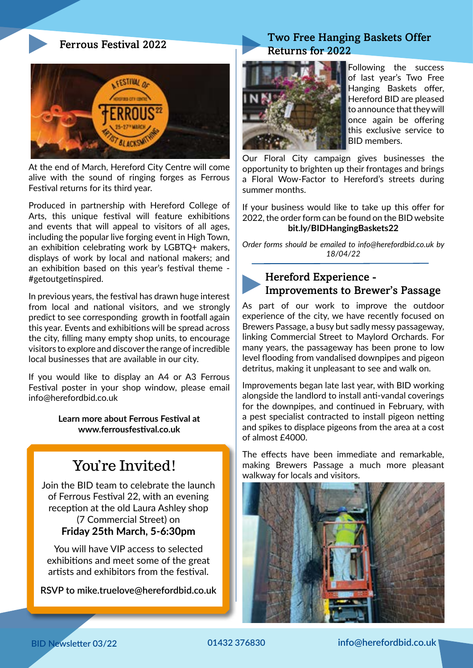### Ferrous Festival 2022



At the end of March, Hereford City Centre will come alive with the sound of ringing forges as Ferrous Festival returns for its third year.

Produced in partnership with Hereford College of Arts, this unique festival will feature exhibitions and events that will appeal to visitors of all ages, including the popular live forging event in High Town, an exhibition celebrating work by LGBTQ+ makers, displays of work by local and national makers; and an exhibition based on this year's festival theme - #getoutgetinspired.

In previous years, the festival has drawn huge interest from local and national visitors, and we strongly predict to see corresponding growth in footfall again this year. Events and exhibitions will be spread across the city, filling many empty shop units, to encourage visitors to explore and discover the range of incredible local businesses that are available in our city.

If you would like to display an A4 or A3 Ferrous Festival poster in your shop window, please email info@herefordbid.co.uk

> **Learn more about Ferrous Festival at www.ferrousfestival.co.uk**

# You're Invited!

Join the BID team to celebrate the launch of Ferrous Festival 22, with an evening reception at the old Laura Ashley shop (7 Commercial Street) on **Friday 25th March, 5-6:30pm**

You will have VIP access to selected exhibitions and meet some of the great artists and exhibitors from the festival.

**RSVP to mike.truelove@herefordbid.co.uk**

# Two Free Hanging Baskets Offer Returns for 2022



Following the success of last year's Two Free Hanging Baskets offer, Hereford BID are pleased to announce that they will once again be offering this exclusive service to BID members.

Our Floral City campaign gives businesses the opportunity to brighten up their frontages and brings a Floral Wow-Factor to Hereford's streets during summer months.

If your business would like to take up this offer for 2022, the order form can be found on the BID website **bit.ly/BIDHangingBaskets22**

*Order forms should be emailed to info@herefordbid.co.uk by 18/04/22*

## Hereford Experience - Improvements to Brewer's Passage

As part of our work to improve the outdoor experience of the city, we have recently focused on Brewers Passage, a busy but sadly messy passageway, linking Commercial Street to Maylord Orchards. For many years, the passageway has been prone to low level flooding from vandalised downpipes and pigeon detritus, making it unpleasant to see and walk on.

Improvements began late last year, with BID working alongside the landlord to install anti-vandal coverings for the downpipes, and continued in February, with a pest specialist contracted to install pigeon netting and spikes to displace pigeons from the area at a cost of almost £4000.

The effects have been immediate and remarkable, making Brewers Passage a much more pleasant walkway for locals and visitors.

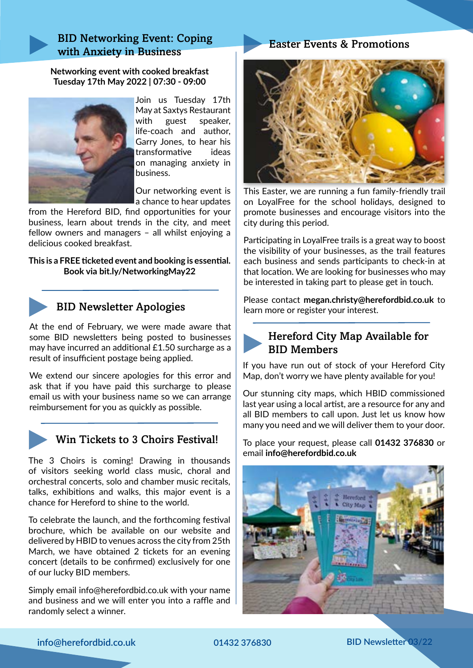## BID Networking Event: Coping with Anxiety in Business

**Networking event with cooked breakfast Tuesday 17th May 2022 | 07:30 - 09:00**



Join us Tuesday 17th May at Saxtys Restaurant with guest speaker, life-coach and author, Garry Jones, to hear his transformative ideas on managing anxiety in business.

Our networking event is a chance to hear updates

from the Hereford BID, find opportunities for your business, learn about trends in the city, and meet fellow owners and managers – all whilst enjoying a delicious cooked breakfast.

#### **This is a FREE ticketed event and booking is essential. Book via bit.ly/NetworkingMay22**



# BID Newsletter Apologies

At the end of February, we were made aware that some BID newsletters being posted to businesses may have incurred an additional £1.50 surcharge as a result of insufficient postage being applied.

We extend our sincere apologies for this error and ask that if you have paid this surcharge to please email us with your business name so we can arrange reimbursement for you as quickly as possible.



## Win Tickets to 3 Choirs Festival!

The 3 Choirs is coming! Drawing in thousands of visitors seeking world class music, choral and orchestral concerts, solo and chamber music recitals, talks, exhibitions and walks, this major event is a chance for Hereford to shine to the world.

To celebrate the launch, and the forthcoming festival brochure, which be available on our website and delivered by HBID to venues across the city from 25th March, we have obtained 2 tickets for an evening concert (details to be confirmed) exclusively for one of our lucky BID members.

Simply email info@herefordbid.co.uk with your name and business and we will enter you into a raffle and randomly select a winner.

## Easter Events & Promotions



This Easter, we are running a fun family-friendly trail on LoyalFree for the school holidays, designed to promote businesses and encourage visitors into the city during this period.

Participating in LoyalFree trails is a great way to boost the visibility of your businesses, as the trail features each business and sends participants to check-in at that location. We are looking for businesses who may be interested in taking part to please get in touch.

Please contact **megan.christy@herefordbid.co.uk** to learn more or register your interest.



If you have run out of stock of your Hereford City Map, don't worry we have plenty available for you!

Our stunning city maps, which HBID commissioned last year using a local artist, are a resource for any and all BID members to call upon. Just let us know how many you need and we will deliver them to your door.

To place your request, please call **01432 376830** or email **info@herefordbid.co.uk**



**info@herefordbid.co.uk 01432 376830 BID Newsletter 03/22**